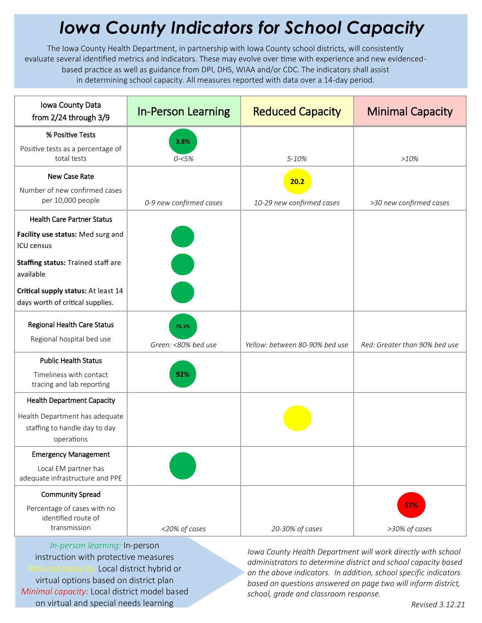## *Iowa County Indicators for School Capacity*

The Iowa County Health Department, in partnership with Iowa County school districts, will consistently evaluate several identified metrics and indicators. These may evolve over time with experience and new evidencedbased practice as well as guidance from DPI, DHS, WIAA and/or CDC. The indicators shall assist in determining school capacity. All measures reported with data over a 14-day period.

| Iowa County Data<br>from 2/24 through 3/9                                     | <b>In-Person Learning</b>                                                                                             | <b>Reduced Capacity</b>        | <b>Minimal Capacity</b>       |
|-------------------------------------------------------------------------------|-----------------------------------------------------------------------------------------------------------------------|--------------------------------|-------------------------------|
| % Positive Tests                                                              | 3.8%                                                                                                                  |                                |                               |
| Positive tests as a percentage of<br>total tests                              | $0 - 5%$                                                                                                              | 5-10%                          | $>10\%$                       |
| New Case Rate                                                                 |                                                                                                                       | 20.2                           |                               |
| Number of new confirmed cases<br>per 10,000 people                            | 0-9 new confirmed cases                                                                                               | 10-29 new confirmed cases      | >30 new confirmed cases       |
| <b>Health Care Partner Status</b>                                             |                                                                                                                       |                                |                               |
| Facility use status: Med surg and<br><b>ICU</b> census                        |                                                                                                                       |                                |                               |
| Staffing status: Trained staff are<br>available                               | <b>Contract Contract Contract Contract Contract Contract Contract Contract Contract Contract Contract Contract Co</b> |                                |                               |
| Critical supply status: At least 14<br>days worth of critical supplies.       |                                                                                                                       |                                |                               |
| <b>Regional Health Care Status</b><br>Regional hospital bed use               | 76.1%<br>Green: <80% bed use                                                                                          | Yellow: between 80-90% bed use | Red: Greater than 90% bed use |
| <b>Public Health Status</b>                                                   |                                                                                                                       |                                |                               |
| Timeliness with contact<br>tracing and lab reporting                          | 92%                                                                                                                   |                                |                               |
| <b>Health Department Capacity</b>                                             |                                                                                                                       |                                |                               |
| Health Department has adequate<br>staffing to handle day to day<br>operations |                                                                                                                       |                                |                               |
| <b>Emergency Management</b>                                                   |                                                                                                                       |                                |                               |
| Local EM partner has<br>adequate infrastructure and PPE                       |                                                                                                                       |                                |                               |
| <b>Community Spread</b>                                                       |                                                                                                                       |                                |                               |
| Percentage of cases with no<br>identified route of<br>transmission            | <20% of cases                                                                                                         | 20-30% of cases                | 57%<br>>30% of cases          |

*In-person learning:* In-person instruction with protective measures *Reduced capacity:* Local district hybrid or virtual options based on district plan *Minimal capacity:* Local district model based on virtual and special needs learning

*Iowa County Health Department will work directly with school administrators to determine district and school capacity based on the above indicators. In addition, school specific indicators based on questions answered on page two will inform district, school, grade and classroom response.*